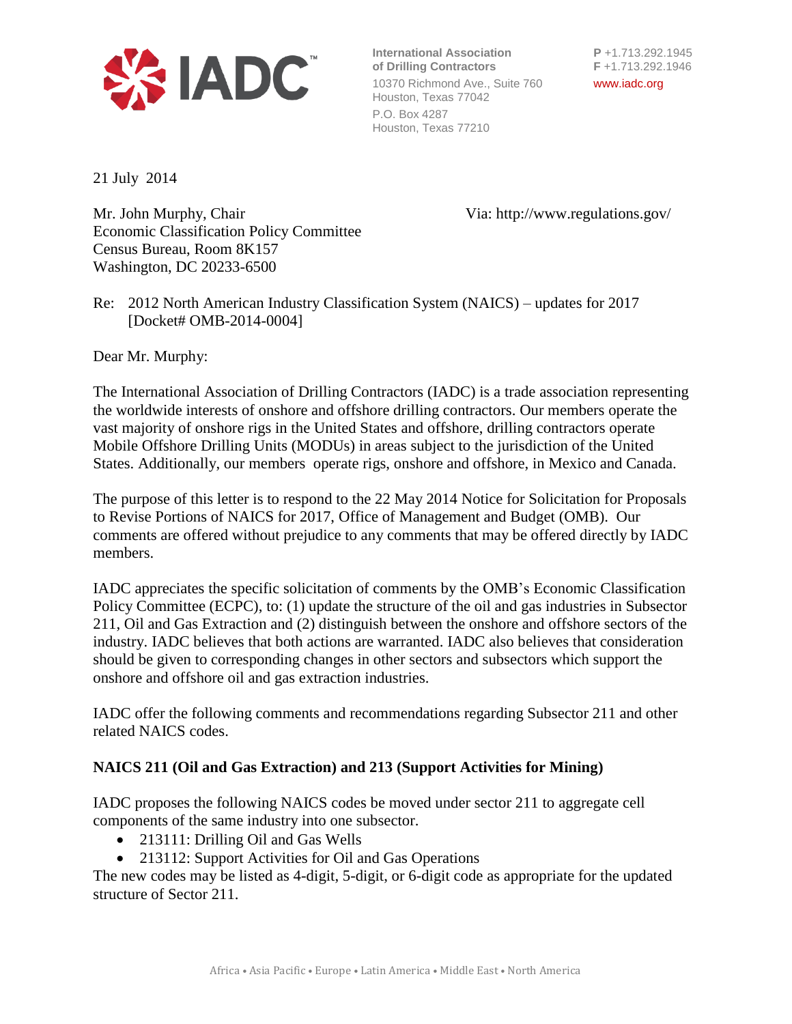

**International Association P** +1.713.292.1945 **of Drilling Contractors F** +1.713.292.1946 10370 Richmond Ave., Suite 760 www.iadc.org Houston, Texas 77042 P.O. Box 4287 Houston, Texas 77210

21 July 2014

Mr. John Murphy, Chair Via: http://www.regulations.gov/ Economic Classification Policy Committee Census Bureau, Room 8K157 Washington, DC 20233-6500

Re: 2012 North American Industry Classification System (NAICS) – updates for 2017 [Docket# OMB-2014-0004]

Dear Mr. Murphy:

The International Association of Drilling Contractors (IADC) is a trade association representing the worldwide interests of onshore and offshore drilling contractors. Our members operate the vast majority of onshore rigs in the United States and offshore, drilling contractors operate Mobile Offshore Drilling Units (MODUs) in areas subject to the jurisdiction of the United States. Additionally, our members operate rigs, onshore and offshore, in Mexico and Canada.

The purpose of this letter is to respond to the 22 May 2014 Notice for Solicitation for Proposals to Revise Portions of NAICS for 2017, Office of Management and Budget (OMB). Our comments are offered without prejudice to any comments that may be offered directly by IADC members.

IADC appreciates the specific solicitation of comments by the OMB's Economic Classification Policy Committee (ECPC), to: (1) update the structure of the oil and gas industries in Subsector 211, Oil and Gas Extraction and (2) distinguish between the onshore and offshore sectors of the industry. IADC believes that both actions are warranted. IADC also believes that consideration should be given to corresponding changes in other sectors and subsectors which support the onshore and offshore oil and gas extraction industries.

IADC offer the following comments and recommendations regarding Subsector 211 and other related NAICS codes.

## **NAICS 211 (Oil and Gas Extraction) and 213 (Support Activities for Mining)**

IADC proposes the following NAICS codes be moved under sector 211 to aggregate cell components of the same industry into one subsector.

- 213111: Drilling Oil and Gas Wells
- 213112: Support Activities for Oil and Gas Operations

The new codes may be listed as 4-digit, 5-digit, or 6-digit code as appropriate for the updated structure of Sector 211.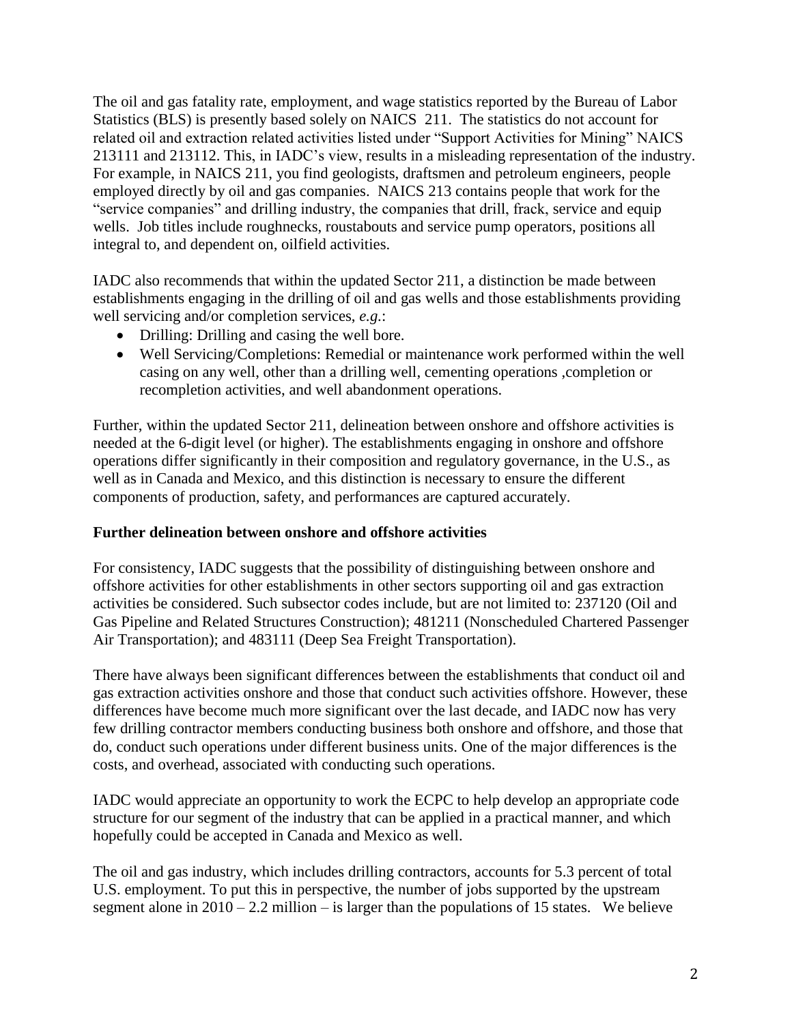The oil and gas fatality rate, employment, and wage statistics reported by the Bureau of Labor Statistics (BLS) is presently based solely on NAICS 211. The statistics do not account for related oil and extraction related activities listed under "Support Activities for Mining" NAICS 213111 and 213112. This, in IADC's view, results in a misleading representation of the industry. For example, in NAICS 211, you find geologists, draftsmen and petroleum engineers, people employed directly by oil and gas companies. NAICS 213 contains people that work for the "service companies" and drilling industry, the companies that drill, frack, service and equip wells. Job titles include roughnecks, roustabouts and service pump operators, positions all integral to, and dependent on, oilfield activities.

IADC also recommends that within the updated Sector 211, a distinction be made between establishments engaging in the drilling of oil and gas wells and those establishments providing well servicing and/or completion services, *e.g.*:

- Drilling: Drilling and casing the well bore.
- Well Servicing/Completions: Remedial or maintenance work performed within the well casing on any well, other than a drilling well, cementing operations ,completion or recompletion activities, and well abandonment operations.

Further, within the updated Sector 211, delineation between onshore and offshore activities is needed at the 6-digit level (or higher). The establishments engaging in onshore and offshore operations differ significantly in their composition and regulatory governance, in the U.S., as well as in Canada and Mexico, and this distinction is necessary to ensure the different components of production, safety, and performances are captured accurately.

## **Further delineation between onshore and offshore activities**

For consistency, IADC suggests that the possibility of distinguishing between onshore and offshore activities for other establishments in other sectors supporting oil and gas extraction activities be considered. Such subsector codes include, but are not limited to: 237120 (Oil and Gas Pipeline and Related Structures Construction); 481211 (Nonscheduled Chartered Passenger Air Transportation); and 483111 (Deep Sea Freight Transportation).

There have always been significant differences between the establishments that conduct oil and gas extraction activities onshore and those that conduct such activities offshore. However, these differences have become much more significant over the last decade, and IADC now has very few drilling contractor members conducting business both onshore and offshore, and those that do, conduct such operations under different business units. One of the major differences is the costs, and overhead, associated with conducting such operations.

IADC would appreciate an opportunity to work the ECPC to help develop an appropriate code structure for our segment of the industry that can be applied in a practical manner, and which hopefully could be accepted in Canada and Mexico as well.

The oil and gas industry, which includes drilling contractors, accounts for 5.3 percent of total U.S. employment. To put this in perspective, the number of jobs supported by the upstream segment alone in  $2010 - 2.2$  million – is larger than the populations of 15 states. We believe